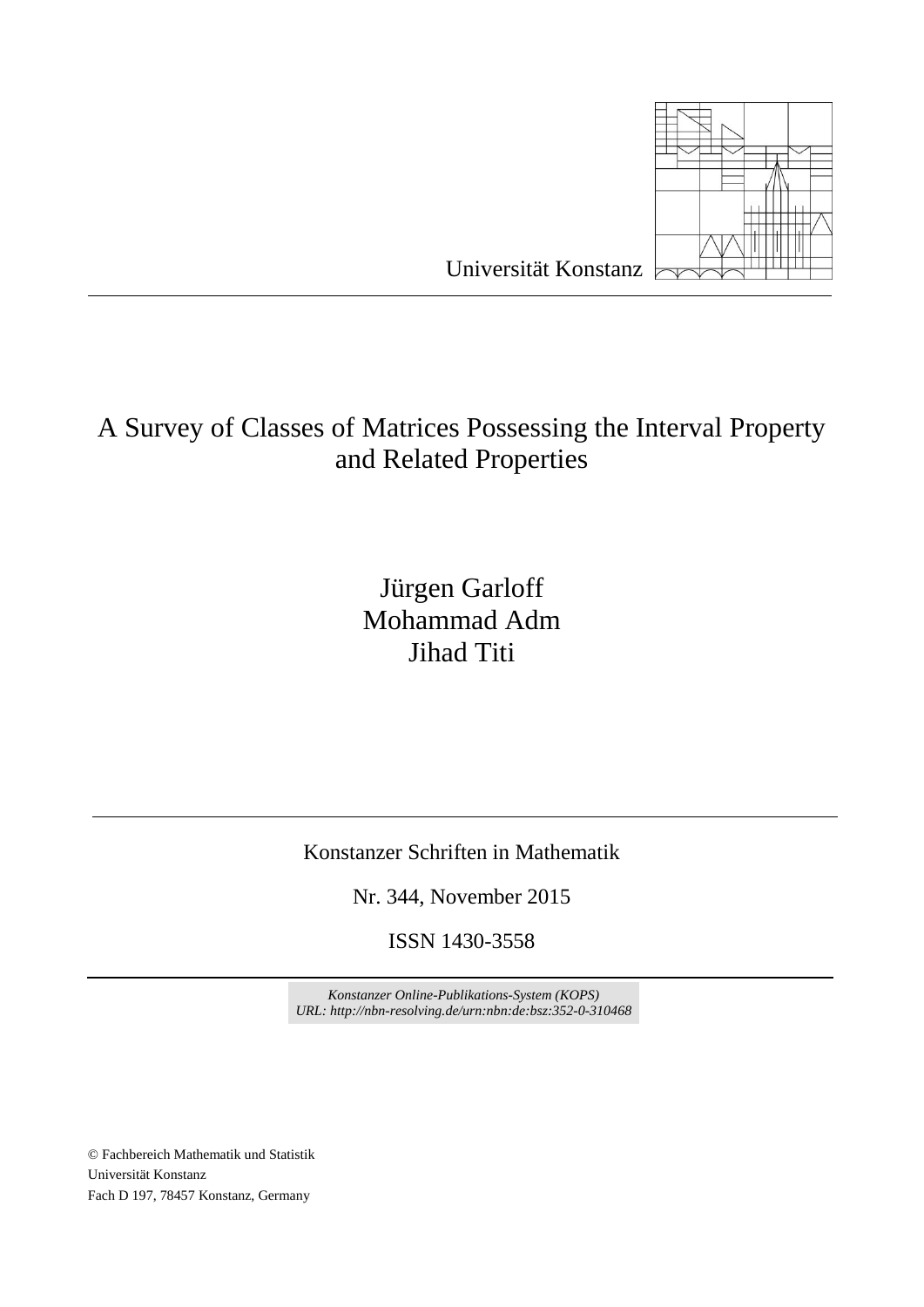

# A Survey of Classes of Matrices Possessing the Interval Property and Related Properties

# Jürgen Garloff Mohammad Adm Jihad Titi

Konstanzer Schriften in Mathematik

Nr. 344, November 2015

ISSN 1430-3558

*Konstanzer Online-Publikations-System (KOPS) UR[L: http://nbn-resolving.de/urn:nbn:de:bsz:352-0-310468](http://nbn-resolving.de/urn:nbn:de:bsz:352-0-310468)*

© Fachbereich Mathematik und Statistik Universität Konstanz Fach D 197, 78457 Konstanz, Germany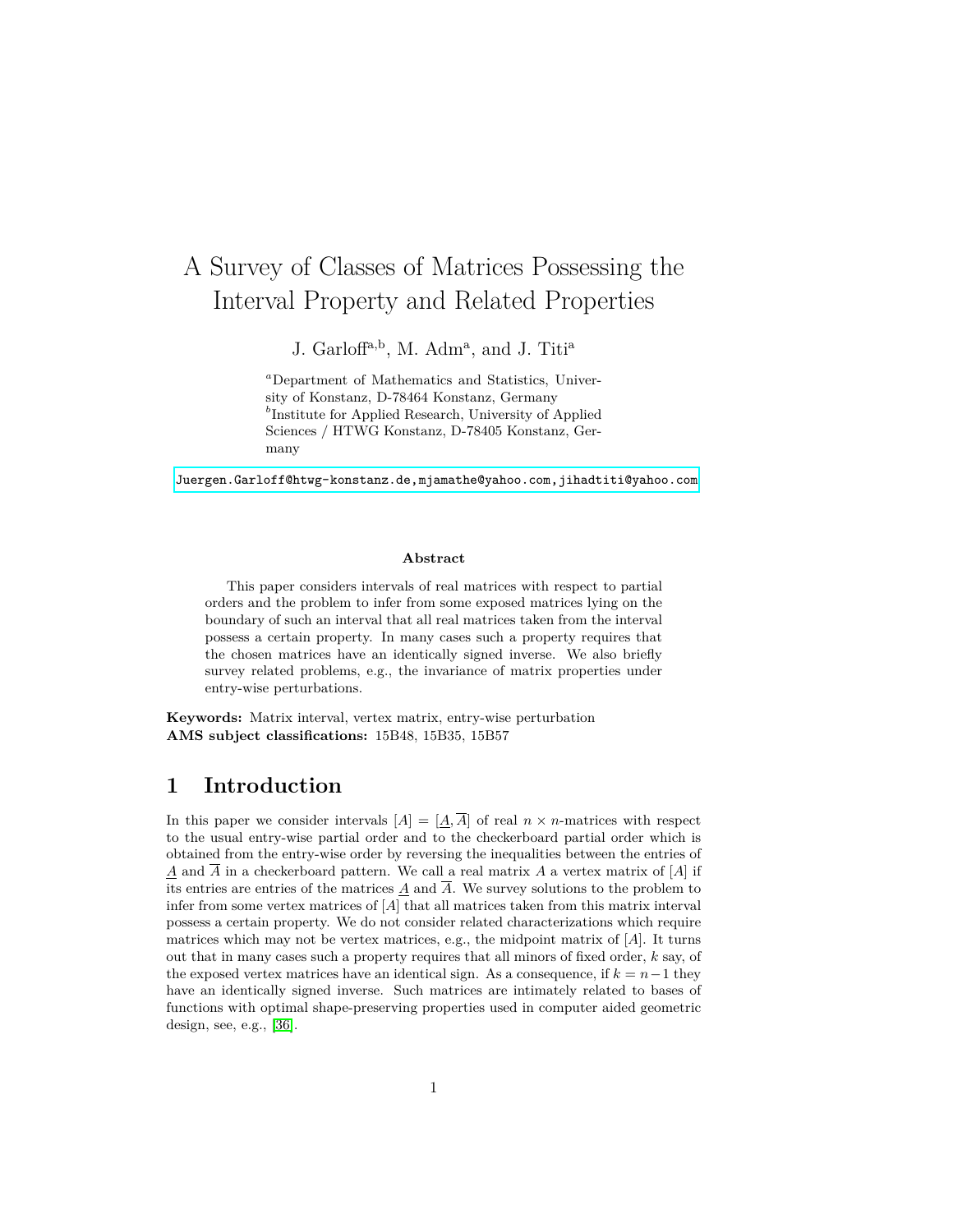# A Survey of Classes of Matrices Possessing the Interval Property and Related Properties

J. Garloff<sup>a,b</sup>, M. Adm<sup>a</sup>, and J. Titi<sup>a</sup>

*<sup>a</sup>*Department of Mathematics and Statistics, University of Konstanz, D-78464 Konstanz, Germany *b* Institute for Applied Research, University of Applied Sciences / HTWG Konstanz, D-78405 Konstanz, Germany

[Juergen.Garloff@htwg-konstanz.de,mjamathe@yahoo.com,jihadtiti@yahoo.com](Juergen.Garloff@htwg-konstanz.de, mjamathe@yahoo.com, jihadtiti@yahoo.com)

### **Abstract**

This paper considers intervals of real matrices with respect to partial orders and the problem to infer from some exposed matrices lying on the boundary of such an interval that all real matrices taken from the interval possess a certain property. In many cases such a property requires that the chosen matrices have an identically signed inverse. We also briefly survey related problems, e.g., the invariance of matrix properties under entry-wise perturbations.

**Keywords:** Matrix interval, vertex matrix, entry-wise perturbation **AMS subject classifications:** 15B48, 15B35, 15B57

# **1 Introduction**

In this paper we consider intervals  $[A] = [\underline{A}, \overline{A}]$  of real  $n \times n$ -matrices with respect to the usual entry-wise partial order and to the checkerboard partial order which is obtained from the entry-wise order by reversing the inequalities between the entries of  $\underline{A}$  and  $\overline{A}$  in a checkerboard pattern. We call a real matrix *A* a vertex matrix of [*A*] if its entries are entries of the matrices  $\underline{A}$  and  $\overline{A}$ . We survey solutions to the problem to infer from some vertex matrices of [*A*] that all matrices taken from this matrix interval possess a certain property. We do not consider related characterizations which require matrices which may not be vertex matrices, e.g., the midpoint matrix of [*A*]. It turns out that in many cases such a property requires that all minors of fixed order, *k* say, of the exposed vertex matrices have an identical sign. As a consequence, if  $k = n - 1$  they have an identically signed inverse. Such matrices are intimately related to bases of functions with optimal shape-preserving properties used in computer aided geometric design, see, e.g., [\[36\]](#page-15-0).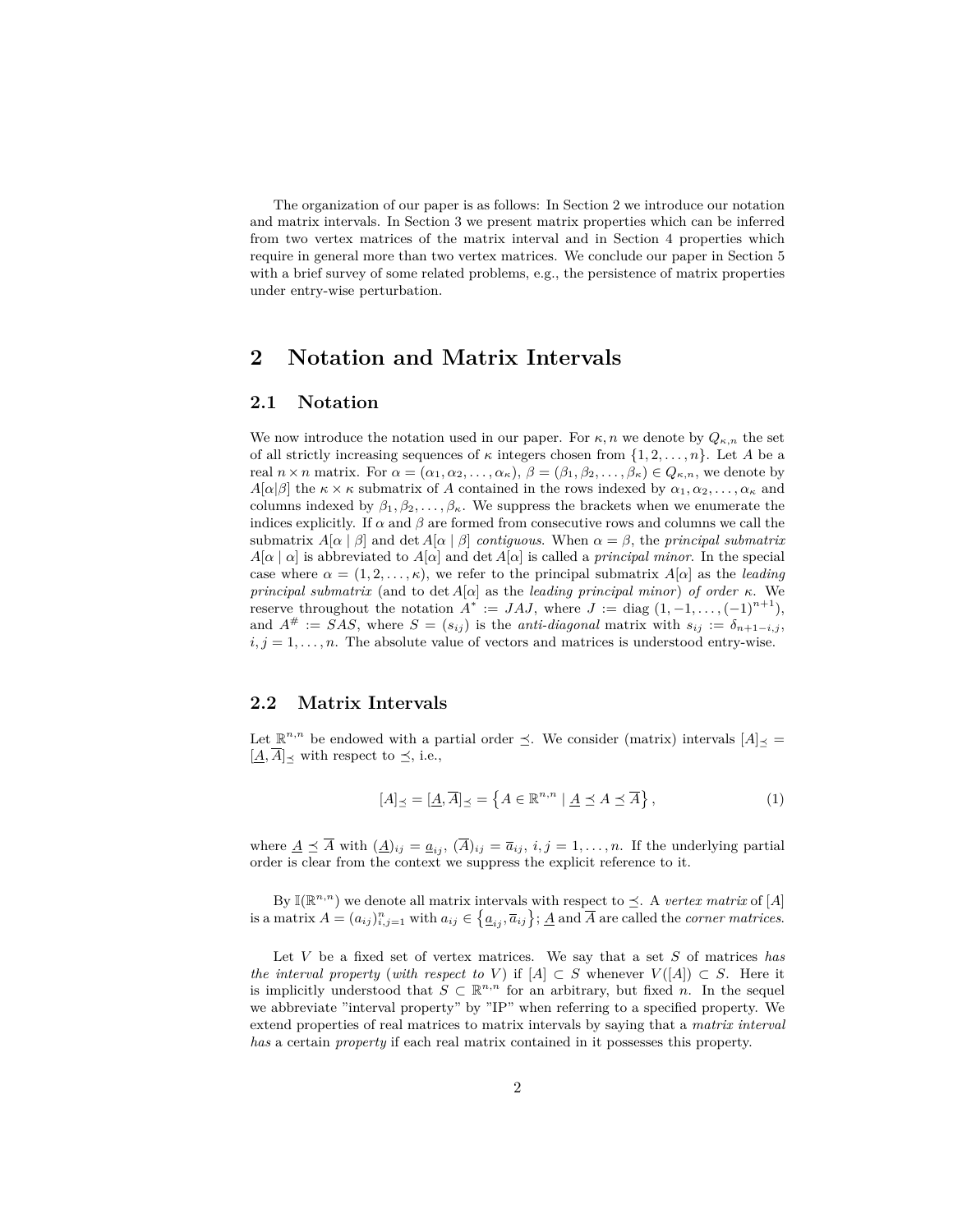The organization of our paper is as follows: In Section 2 we introduce our notation and matrix intervals. In Section 3 we present matrix properties which can be inferred from two vertex matrices of the matrix interval and in Section 4 properties which require in general more than two vertex matrices. We conclude our paper in Section 5 with a brief survey of some related problems, e.g., the persistence of matrix properties under entry-wise perturbation.

## **2 Notation and Matrix Intervals**

### **2.1 Notation**

We now introduce the notation used in our paper. For  $\kappa, n$  we denote by  $Q_{\kappa,n}$  the set of all strictly increasing sequences of  $\kappa$  integers chosen from  $\{1, 2, \ldots, n\}$ . Let A be a real  $n \times n$  matrix. For  $\alpha = (\alpha_1, \alpha_2, \ldots, \alpha_\kappa), \ \beta = (\beta_1, \beta_2, \ldots, \beta_\kappa) \in Q_{\kappa, n}$ , we denote by *A*[ $\alpha$ ]*β*] the  $\kappa \times \kappa$  submatrix of *A* contained in the rows indexed by  $\alpha_1, \alpha_2, \ldots, \alpha_\kappa$  and columns indexed by  $\beta_1, \beta_2, \ldots, \beta_{\kappa}$ . We suppress the brackets when we enumerate the indices explicitly. If  $\alpha$  and  $\beta$  are formed from consecutive rows and columns we call the submatrix  $A[\alpha | \beta]$  and det  $A[\alpha | \beta]$  *contiguous*. When  $\alpha = \beta$ , the *principal submatrix*  $A[\alpha | \alpha]$  is abbreviated to  $A[\alpha]$  and det  $A[\alpha]$  is called a *principal minor*. In the special case where  $\alpha = (1, 2, \ldots, \kappa)$ , we refer to the principal submatrix  $A[\alpha]$  as the *leading principal submatrix* (and to det *A*[*α*] as the *leading principal minor*) *of order κ*. We reserve throughout the notation  $A^* := JAJ$ , where  $J := \text{diag}(1, -1, \ldots, (-1)^{n+1})$ , and  $A^{\#}$  := *SAS*, where  $S = (s_{ij})$  is the *anti-diagonal* matrix with  $s_{ij} := \delta_{n+1-i,j}$ ,  $i, j = 1, \ldots, n$ . The absolute value of vectors and matrices is understood entry-wise.

### **2.2 Matrix Intervals**

Let  $\mathbb{R}^{n,n}$  be endowed with a partial order  $\leq$ . We consider (matrix) intervals  $[A]_{\preceq}$  $[\underline{A}, \overline{A}]$  with respect to  $\preceq$ , i.e.,

$$
[A]_{\preceq} = [\underline{A}, \overline{A}]_{\preceq} = \left\{ A \in \mathbb{R}^{n, n} \mid \underline{A} \preceq A \preceq \overline{A} \right\},\tag{1}
$$

where  $\underline{A} \preceq \overline{A}$  with  $(\underline{A})_{ij} = \underline{a}_{ij}$ ,  $(\overline{A})_{ij} = \overline{a}_{ij}$ ,  $i, j = 1, \ldots, n$ . If the underlying partial order is clear from the context we suppress the explicit reference to it.

By  $\mathbb{I}(\mathbb{R}^{n,n})$  we denote all matrix intervals with respect to  $\preceq$ . A *vertex matrix* of [*A*]  $\mathcal{A} = (a_{ij})_{i,j=1}^n$  with  $a_{ij} \in \left\{ \underline{a}_{ij}, \overline{a}_{ij} \right\}; \underline{A}$  and  $\overline{A}$  are called the *corner matrices*.

Let *V* be a fixed set of vertex matrices. We say that a set *S* of matrices *has the interval property* (*with respect to V*) if  $[A] \subset S$  whenever  $V([A]) \subset S$ . Here it is implicitly understood that  $S \subset \mathbb{R}^{n,n}$  for an arbitrary, but fixed *n*. In the sequel we abbreviate "interval property" by "IP" when referring to a specified property. We extend properties of real matrices to matrix intervals by saying that a *matrix interval has* a certain *property* if each real matrix contained in it possesses this property.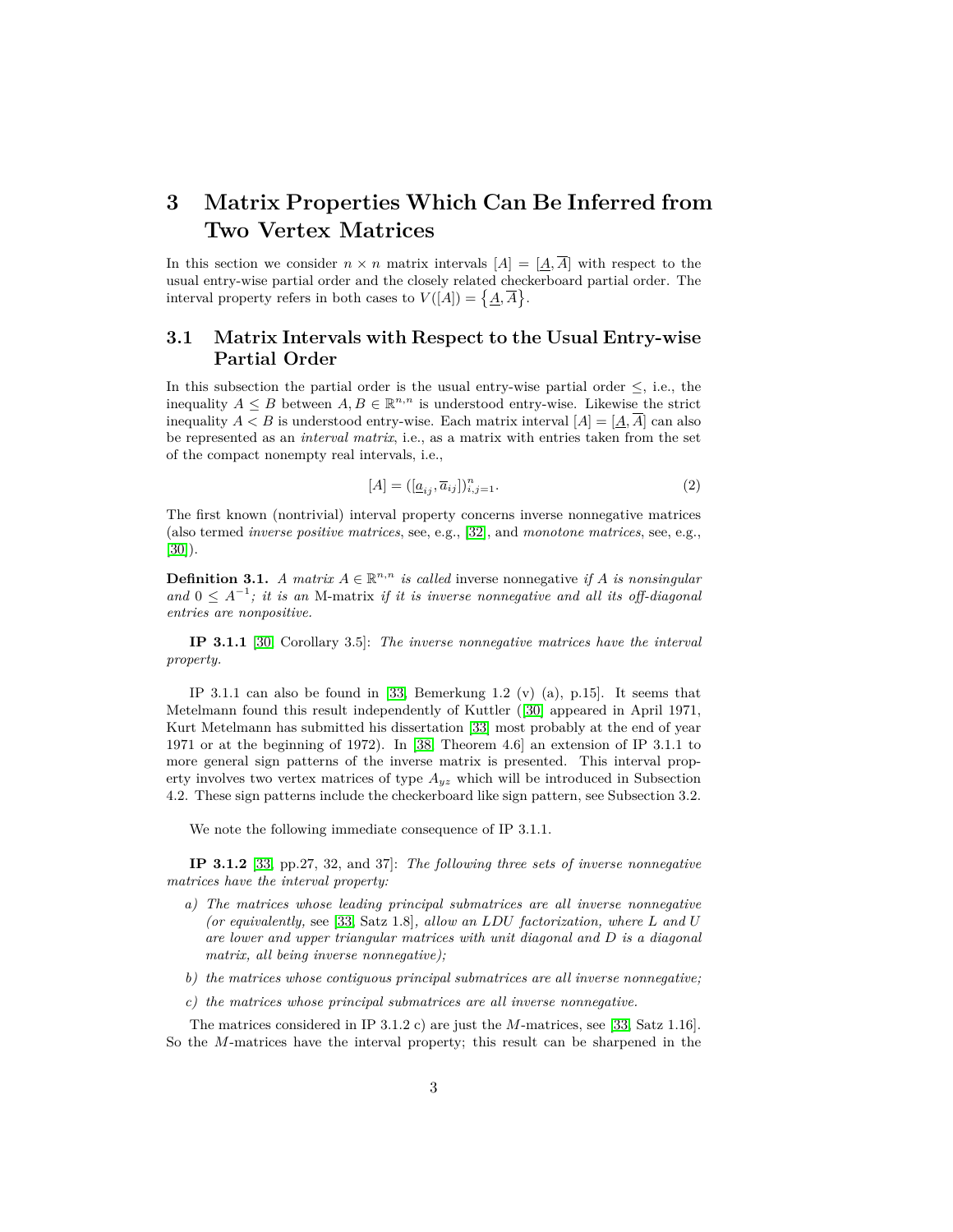# **3 Matrix Properties Which Can Be Inferred from Two Vertex Matrices**

In this section we consider  $n \times n$  matrix intervals  $[A] = [A, \overline{A}]$  with respect to the usual entry-wise partial order and the closely related checkerboard partial order. The interval property refers in both cases to  $V([A]) = \{A, \overline{A}\}.$ 

### **3.1 Matrix Intervals with Respect to the Usual Entry-wise Partial Order**

In this subsection the partial order is the usual entry-wise partial order  $\leq$ , i.e., the inequality  $A \leq B$  between  $A, B \in \mathbb{R}^{n,n}$  is understood entry-wise. Likewise the strict inequality  $A < B$  is understood entry-wise. Each matrix interval  $[A] = [A, \overline{A}]$  can also be represented as an *interval matrix*, i.e., as a matrix with entries taken from the set of the compact nonempty real intervals, i.e.,

$$
[A] = ([\underline{a}_{ij}, \overline{a}_{ij}])_{i,j=1}^n.
$$
 (2)

The first known (nontrivial) interval property concerns inverse nonnegative matrices (also termed *inverse positive matrices*, see, e.g., [\[32\]](#page-15-1), and *monotone matrices*, see, e.g., [\[30\]](#page-15-2)).

**Definition 3.1.** *A matrix*  $A \in \mathbb{R}^{n,n}$  *is called* inverse nonnegative *if A is nonsingular* and  $0 \leq A^{-1}$ ; *it is an* M-matrix *if it is inverse nonnegative and all its off-diagonal entries are nonpositive.*

**IP 3.1.1** [\[30,](#page-15-2) Corollary 3.5]: *The inverse nonnegative matrices have the interval property.*

IP 3.1.1 can also be found in [\[33,](#page-15-3) Bemerkung 1.2  $(v)$  (a), p.15]. It seems that Metelmann found this result independently of Kuttler ([\[30\]](#page-15-2) appeared in April 1971, Kurt Metelmann has submitted his dissertation [\[33\]](#page-15-3) most probably at the end of year 1971 or at the beginning of 1972). In [\[38,](#page-15-4) Theorem 4.6] an extension of IP 3.1.1 to more general sign patterns of the inverse matrix is presented. This interval property involves two vertex matrices of type *Ayz* which will be introduced in Subsection 4.2. These sign patterns include the checkerboard like sign pattern, see Subsection 3.2.

We note the following immediate consequence of IP 3.1.1.

**IP 3.1.2** [\[33,](#page-15-3) pp.27, 32, and 37]: *The following three sets of inverse nonnegative matrices have the interval property:*

- *a) The matrices whose leading principal submatrices are all inverse nonnegative (or equivalently,* see [\[33,](#page-15-3) Satz 1.8]*, allow an LDU factorization, where L and U are lower and upper triangular matrices with unit diagonal and D is a diagonal matrix, all being inverse nonnegative);*
- *b) the matrices whose contiguous principal submatrices are all inverse nonnegative;*
- *c) the matrices whose principal submatrices are all inverse nonnegative.*

The matrices considered in IP 3.1.2 c) are just the *M*-matrices, see [\[33,](#page-15-3) Satz 1.16]. So the *M*-matrices have the interval property; this result can be sharpened in the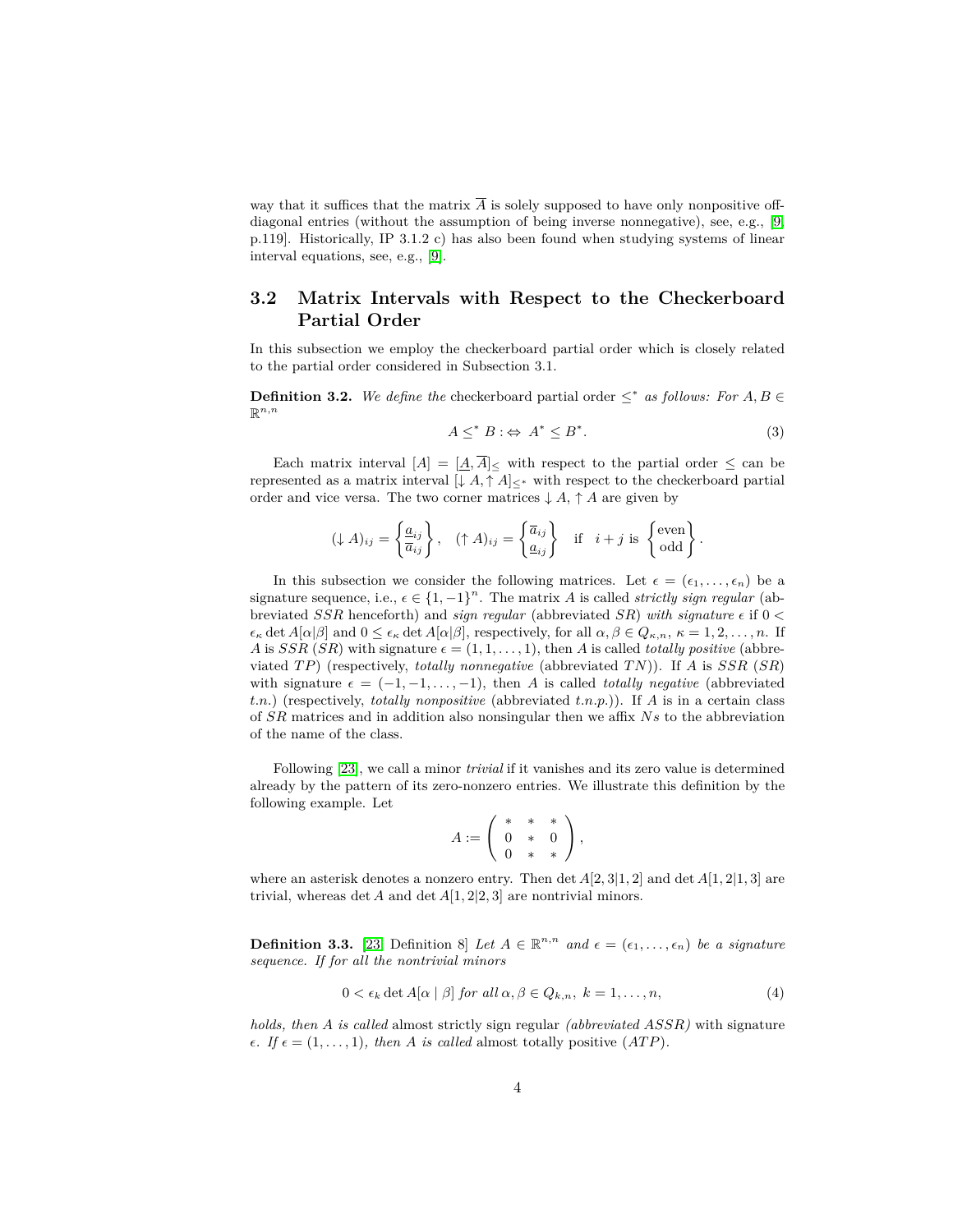way that it suffices that the matrix  $\overline{A}$  is solely supposed to have only nonpositive offdiagonal entries (without the assumption of being inverse nonnegative), see, e.g., [\[9,](#page-13-0) p.119]. Historically, IP 3.1.2 c) has also been found when studying systems of linear interval equations, see, e.g., [\[9\]](#page-13-0).

### **3.2 Matrix Intervals with Respect to the Checkerboard Partial Order**

In this subsection we employ the checkerboard partial order which is closely related to the partial order considered in Subsection 3.1.

**Definition 3.2.** We define the checkerboard partial order  $\leq^*$  as follows: For  $A, B \in$  $\mathbb{R}^{n,n}$ 

$$
A \leq^* B : \Leftrightarrow A^* \leq B^*.
$$
 (3)

Each matrix interval  $[A] = \underline{[A,\overline{A}]}<$  with respect to the partial order  $\leq$  can be represented as a matrix interval  $[\downarrow A, \uparrow A]_{\leq *}$  with respect to the checkerboard partial order and vice versa. The two corner matrices  $\downarrow A$ ,  $\uparrow A$  are given by

$$
(\downarrow A)_{ij} = \left\{ \frac{a_{ij}}{\overline{a}_{ij}} \right\}, \quad (\uparrow A)_{ij} = \left\{ \frac{\overline{a}_{ij}}{a_{ij}} \right\} \quad \text{if} \quad i + j \text{ is } \left\{ \begin{matrix} \text{even} \\ \text{odd} \end{matrix} \right\}.
$$

In this subsection we consider the following matrices. Let  $\epsilon = (\epsilon_1, \ldots, \epsilon_n)$  be a signature sequence, i.e.,  $\epsilon \in \{1, -1\}^n$ . The matrix *A* is called *strictly sign regular* (abbreviated *SSR* henceforth) and *sign regular* (abbreviated *SR*) *with signature* if 0 *<*  $\epsilon_{\kappa}$  det  $A[\alpha|\beta]$  and  $0 \leq \epsilon_{\kappa}$  det  $A[\alpha|\beta]$ , respectively, for all  $\alpha, \beta \in Q_{\kappa,n}, \kappa = 1, 2, \ldots, n$ . If *A* is *SSR* (*SR*) with signature  $\epsilon = (1, 1, \ldots, 1)$ , then *A* is called *totally positive* (abbreviated *T P*) (respectively, *totally nonnegative* (abbreviated *T N*)). If *A* is *SSR* (*SR*) with signature  $\epsilon = (-1, -1, \ldots, -1)$ , then *A* is called *totally negative* (abbreviated *t.n.*) (respectively, *totally nonpositive* (abbreviated *t.n.p.*)). If *A* is in a certain class of *SR* matrices and in addition also nonsingular then we affix *Ns* to the abbreviation of the name of the class.

Following [\[23\]](#page-14-0), we call a minor *trivial* if it vanishes and its zero value is determined already by the pattern of its zero-nonzero entries. We illustrate this definition by the following example. Let

$$
A := \left( \begin{array}{ccc} * & * & * \\ 0 & * & 0 \\ 0 & * & * \end{array} \right),
$$

where an asterisk denotes a nonzero entry. Then det *A*[2*,* 3|1*,* 2] and det *A*[1*,* 2|1*,* 3] are trivial, whereas det *A* and det  $A[1,2|2,3]$  are nontrivial minors.

**Definition 3.3.** [\[23,](#page-14-0) Definition 8] Let  $A \in \mathbb{R}^{n,n}$  and  $\epsilon = (\epsilon_1, \ldots, \epsilon_n)$  be a signature *sequence. If for all the nontrivial minors*

<span id="page-5-0"></span>
$$
0 < \epsilon_k \det A[\alpha \mid \beta] \text{ for all } \alpha, \beta \in Q_{k,n}, \ k = 1, \dots, n,\tag{4}
$$

*holds, then A is called* almost strictly sign regular *(abbreviated ASSR)* with signature  $\epsilon$ *. If*  $\epsilon = (1, \ldots, 1)$ *, then A is called* almost totally positive  $(ATP)$ *.*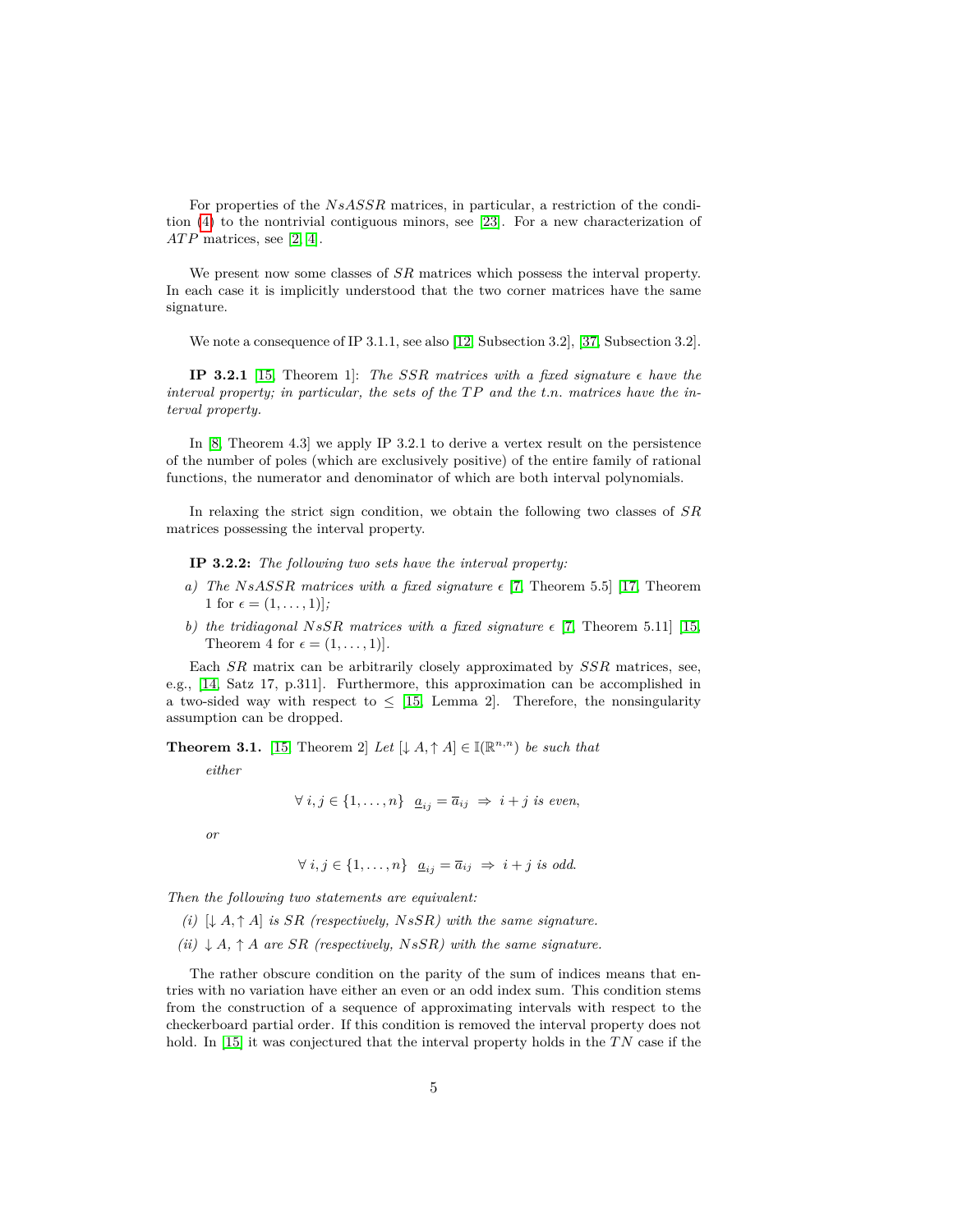For properties of the *NsASSR* matrices, in particular, a restriction of the condition [\(4\)](#page-5-0) to the nontrivial contiguous minors, see [\[23\]](#page-14-0). For a new characterization of *ATP* matrices, see [\[2,](#page-13-1) [4\]](#page-13-2).

We present now some classes of *SR* matrices which possess the interval property. In each case it is implicitly understood that the two corner matrices have the same signature.

We note a consequence of IP 3.1.1, see also [\[12,](#page-14-1) Subsection 3.2], [\[37,](#page-15-5) Subsection 3.2].

**IP 3.2.1** [\[15,](#page-14-2) Theorem 1]: *The SSR matrices with* a *fixed signature*  $\epsilon$  *have the interval property; in particular, the sets of the*  $TP$  *and the t.n. matrices have the interval property.*

In [\[8,](#page-13-3) Theorem 4.3] we apply IP 3.2.1 to derive a vertex result on the persistence of the number of poles (which are exclusively positive) of the entire family of rational functions, the numerator and denominator of which are both interval polynomials.

In relaxing the strict sign condition, we obtain the following two classes of *SR* matrices possessing the interval property.

**IP 3.2.2:** *The following two sets have the interval property:*

- *a) The NsASSR matrices with a fixed signature*  $\epsilon$  [\[7,](#page-13-4) Theorem 5.5] [\[17,](#page-14-3) Theorem 1 for  $\epsilon = (1, \ldots, 1)$ ;
- *b)* the tridiagonal NsSR matrices with a fixed signature  $\epsilon$  [\[7,](#page-13-4) Theorem 5.11] [\[15,](#page-14-2) Theorem 4 for  $\epsilon = (1, \ldots, 1)$ .

Each *SR* matrix can be arbitrarily closely approximated by *SSR* matrices, see, e.g., [\[14,](#page-14-4) Satz 17, p.311]. Furthermore, this approximation can be accomplished in a two-sided way with respect to  $\leq$  [\[15,](#page-14-2) Lemma 2]. Therefore, the nonsingularity assumption can be dropped.

**Theorem 3.1.** [\[15,](#page-14-2) Theorem 2] Let  $[\downarrow A, \uparrow A] \in \mathbb{I}(\mathbb{R}^{n,n})$  be such that

*either*

$$
\forall i, j \in \{1, \ldots, n\} \quad \underline{a}_{ij} = \overline{a}_{ij} \ \Rightarrow \ i + j \ \text{is even},
$$

*or*

$$
\forall i, j \in \{1, \ldots, n\} \quad \underline{a}_{ij} = \overline{a}_{ij} \ \Rightarrow \ i + j \ \text{is odd.}
$$

*Then the following two statements are equivalent:*

 $(i)$   $\downarrow$  *A*,  $\uparrow$  *A*] *is SR* (respectively, *NsSR*) with the same signature.

 $(iii) \downarrow A$ ,  $\uparrow A$  *are SR* (*respectively, NsSR*) with the same signature.

The rather obscure condition on the parity of the sum of indices means that entries with no variation have either an even or an odd index sum. This condition stems from the construction of a sequence of approximating intervals with respect to the checkerboard partial order. If this condition is removed the interval property does not hold. In [\[15\]](#page-14-2) it was conjectured that the interval property holds in the *T N* case if the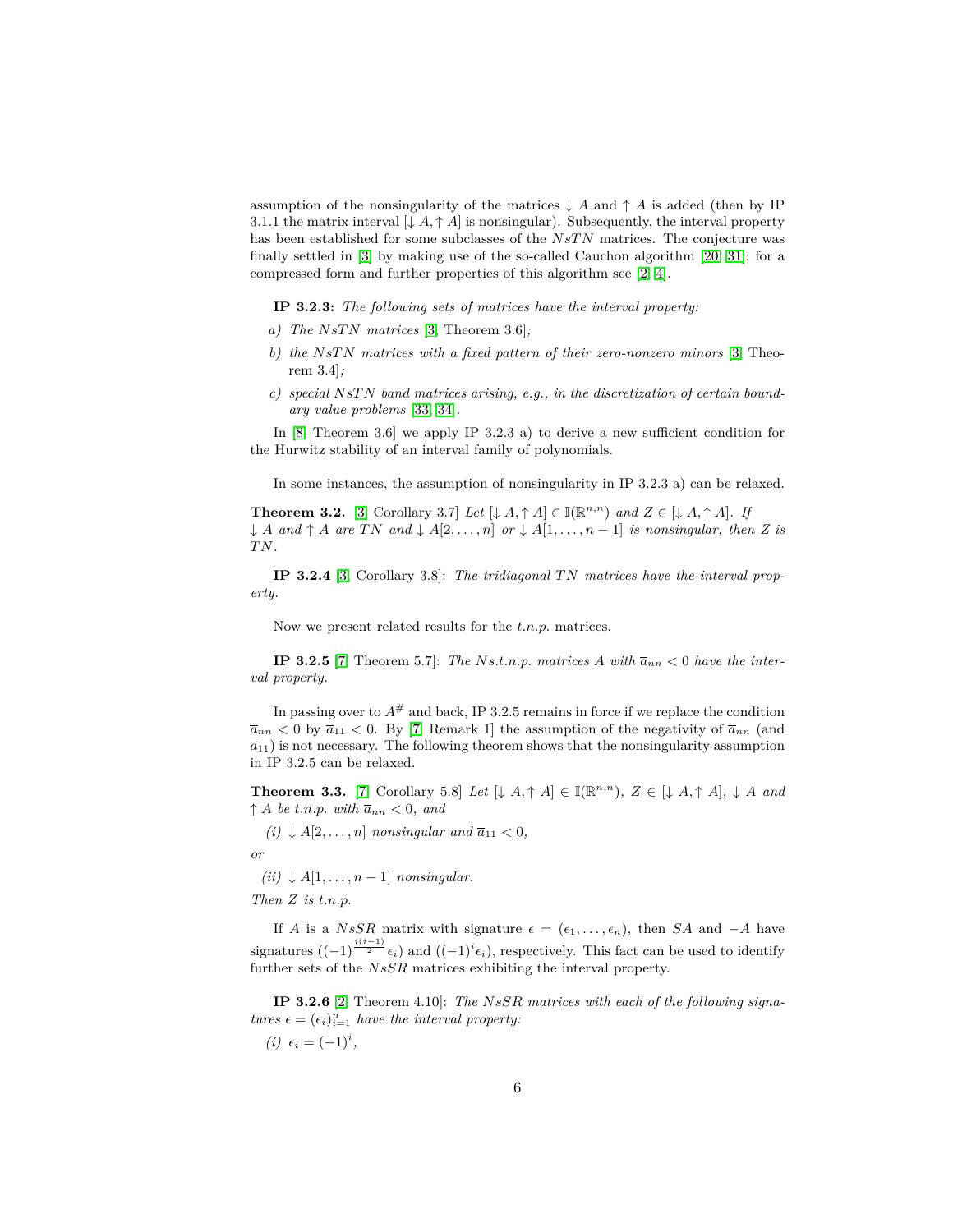assumption of the nonsingularity of the matrices  $\downarrow$  *A* and  $\uparrow$  *A* is added (then by IP 3.1.1 the matrix interval  $[\downarrow A, \uparrow A]$  is nonsingular). Subsequently, the interval property has been established for some subclasses of the *NsTN* matrices. The conjecture was finally settled in [\[3\]](#page-13-5) by making use of the so-called Cauchon algorithm [\[20,](#page-14-5) [31\]](#page-15-6); for a compressed form and further properties of this algorithm see [\[2,](#page-13-1) [4\]](#page-13-2).

**IP 3.2.3:** *The following sets of matrices have the interval property:*

- *a) The NsT N matrices* [\[3,](#page-13-5) Theorem 3.6]*;*
- *b) the NsT N matrices with a fixed pattern of their zero-nonzero minors* [\[3,](#page-13-5) Theorem 3.4]*;*
- *c) special NsT N band matrices arising, e.g., in the discretization of certain boundary value problems* [\[33,](#page-15-3) [34\]](#page-15-7)*.*

In [\[8,](#page-13-3) Theorem 3.6] we apply IP 3.2.3 a) to derive a new sufficient condition for the Hurwitz stability of an interval family of polynomials.

In some instances, the assumption of nonsingularity in IP 3.2.3 a) can be relaxed.

**Theorem 3.2.** [\[3,](#page-13-5) Corollary 3.7] *Let*  $[\downarrow A, \uparrow A] \in \mathbb{I}(\mathbb{R}^{n,n})$  *and*  $Z \in [\downarrow A, \uparrow A]$ *. If* ↓ *A* and  $\uparrow$  *A* are *TN* and  $\downarrow$  *A*[2*,...,n*] *or*  $\downarrow$  *A*[1*,...,n* − 1] *is nonsingular, then Z is T N.*

**IP 3.2.4** [\[3,](#page-13-5) Corollary 3.8]: *The tridiagonal T N matrices have the interval property.*

Now we present related results for the *t.n.p.* matrices.

**IP 3.2.5** [\[7,](#page-13-4) Theorem 5.7]: *The Ns.t.n.p. matrices A with*  $\overline{a}_{nn} < 0$  *have the interval property.*

In passing over to  $A^{\#}$  and back, IP 3.2.5 remains in force if we replace the condition  $\overline{a}_{nn}$  < 0 by  $\overline{a}_{11}$  < 0. By [\[7,](#page-13-4) Remark 1] the assumption of the negativity of  $\overline{a}_{nn}$  (and  $\overline{a}_{11}$ ) is not necessary. The following theorem shows that the nonsingularity assumption in IP 3.2.5 can be relaxed.

**Theorem 3.3.** [\[7,](#page-13-4) Corollary 5.8] *Let*  $[\downarrow A, \uparrow A] \in \mathbb{I}(\mathbb{R}^{n,n})$ ,  $Z \in [\downarrow A, \uparrow A]$ ,  $\downarrow A$  *and*  $\uparrow$  *A be t.n.p. with*  $\overline{a}_{nn} < 0$ , and

 $(i)$   $\downarrow$  *A*[2*,...,n*] *nonsingular and*  $\overline{a}_{11}$  < 0*,* 

*or*

 $(iii) \downarrow A[1, \ldots, n-1]$  *nonsingular.* 

*Then Z is t.n.p.*

If *A* is a *NsSR* matrix with signature  $\epsilon = (\epsilon_1, \ldots, \epsilon_n)$ , then *SA* and −*A* have signatures  $((-1)^{\frac{i(i-1)}{2}} \epsilon_i)$  and  $((-1)^i \epsilon_i)$ , respectively. This fact can be used to identify further sets of the *NsSR* matrices exhibiting the interval property.

**IP 3.2.6** [\[2,](#page-13-1) Theorem 4.10]: *The NsSR matrices with each of the following signatures*  $\epsilon = (\epsilon_i)_{i=1}^n$  *have the interval property:* 

 $(i) \epsilon_i = (-1)^i,$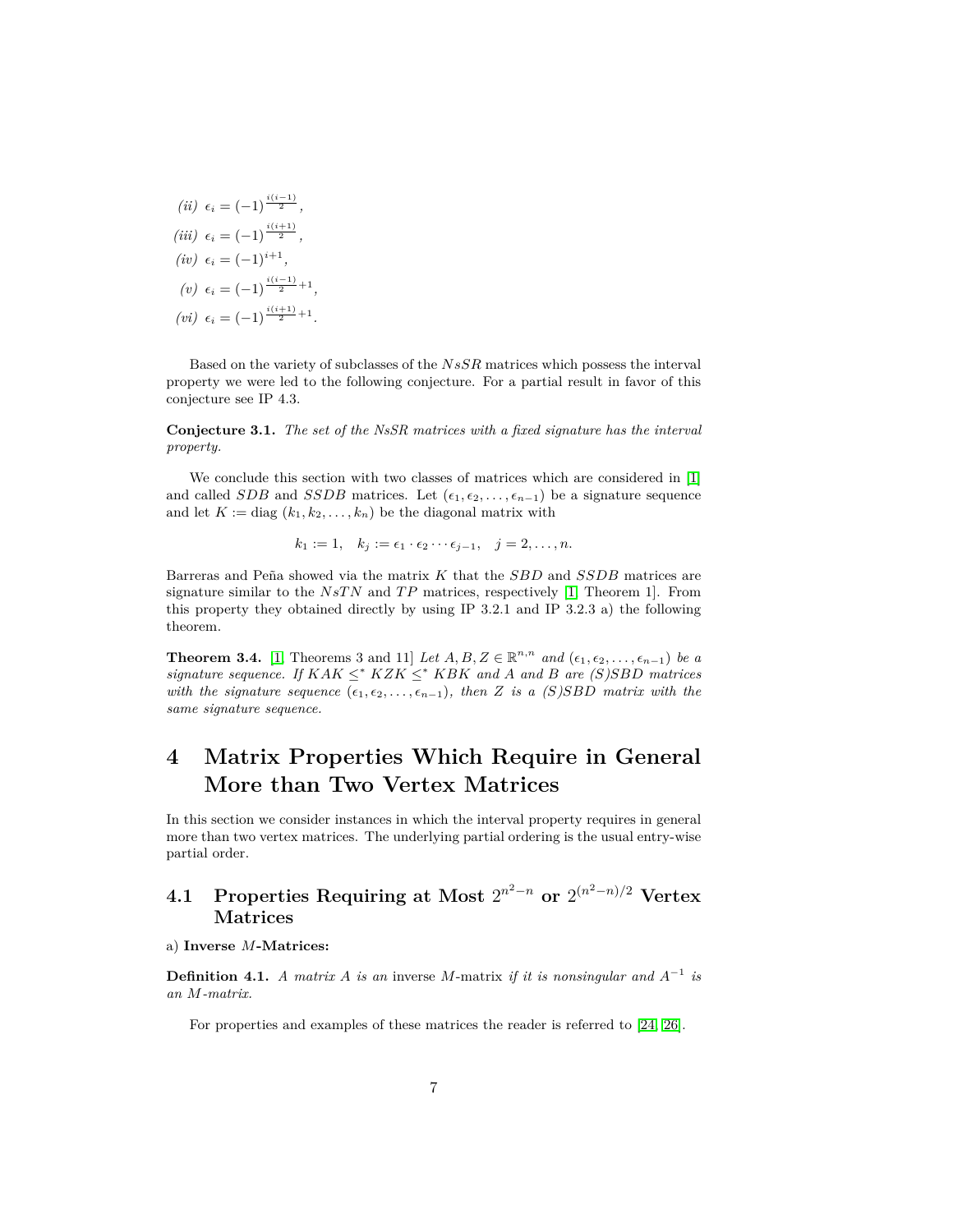(*ii*) 
$$
\epsilon_i = (-1)^{\frac{i(i-1)}{2}}
$$
,  
\n(*iii*)  $\epsilon_i = (-1)^{\frac{i(i+1)}{2}}$ ,  
\n(*iv*)  $\epsilon_i = (-1)^{i+1}$ ,  
\n(*v*)  $\epsilon_i = (-1)^{\frac{i(i-1)}{2}+1}$ ,  
\n(*vi*)  $\epsilon_i = (-1)^{\frac{i(i+1)}{2}+1}$ .

Based on the variety of subclasses of the *NsSR* matrices which possess the interval property we were led to the following conjecture. For a partial result in favor of this conjecture see IP 4.3.

**Conjecture 3.1.** *The set of the NsSR matrices with a fixed signature has the interval property.*

We conclude this section with two classes of matrices which are considered in [\[1\]](#page-13-6) and called *SDB* and *SSDB* matrices. Let  $(\epsilon_1, \epsilon_2, \ldots, \epsilon_{n-1})$  be a signature sequence and let  $K := diag(k_1, k_2, \ldots, k_n)$  be the diagonal matrix with

$$
k_1 := 1, \quad k_j := \epsilon_1 \cdot \epsilon_2 \cdots \epsilon_{j-1}, \quad j = 2, \ldots, n.
$$

Barreras and Pena showed via the matrix ˜ *K* that the *SBD* and *SSDB* matrices are signature similar to the *NsT N* and *T P* matrices, respectively [\[1,](#page-13-6) Theorem 1]. From this property they obtained directly by using IP 3.2.1 and IP 3.2.3 a) the following theorem.

**Theorem 3.4.** [\[1,](#page-13-6) Theorems 3 and 11] *Let*  $A, B, Z \in \mathbb{R}^{n,n}$  *and*  $(\epsilon_1, \epsilon_2, \ldots, \epsilon_{n-1})$  *be a signature sequence. If*  $KAK \leq^* KZK \leq^* KBK$  *and A and B are* (*S*)*SBD matrices with the signature sequence*  $(\epsilon_1, \epsilon_2, \ldots, \epsilon_{n-1})$ *, then Z is a* (*S*)*SBD matrix with the same signature sequence.*

# **4 Matrix Properties Which Require in General More than Two Vertex Matrices**

In this section we consider instances in which the interval property requires in general more than two vertex matrices. The underlying partial ordering is the usual entry-wise partial order.

## **4.1 Properties Requiring at Most**  $2^{n^2-n}$  or  $2^{(n^2-n)/2}$  Vertex **Matrices**

### a) **Inverse** *M***-Matrices:**

**Definition 4.1.** *A matrix A is an* inverse *M*-matrix *if it is nonsingular and*  $A^{-1}$  *is an M-matrix.*

For properties and examples of these matrices the reader is referred to [\[24,](#page-14-6) [26\]](#page-14-7).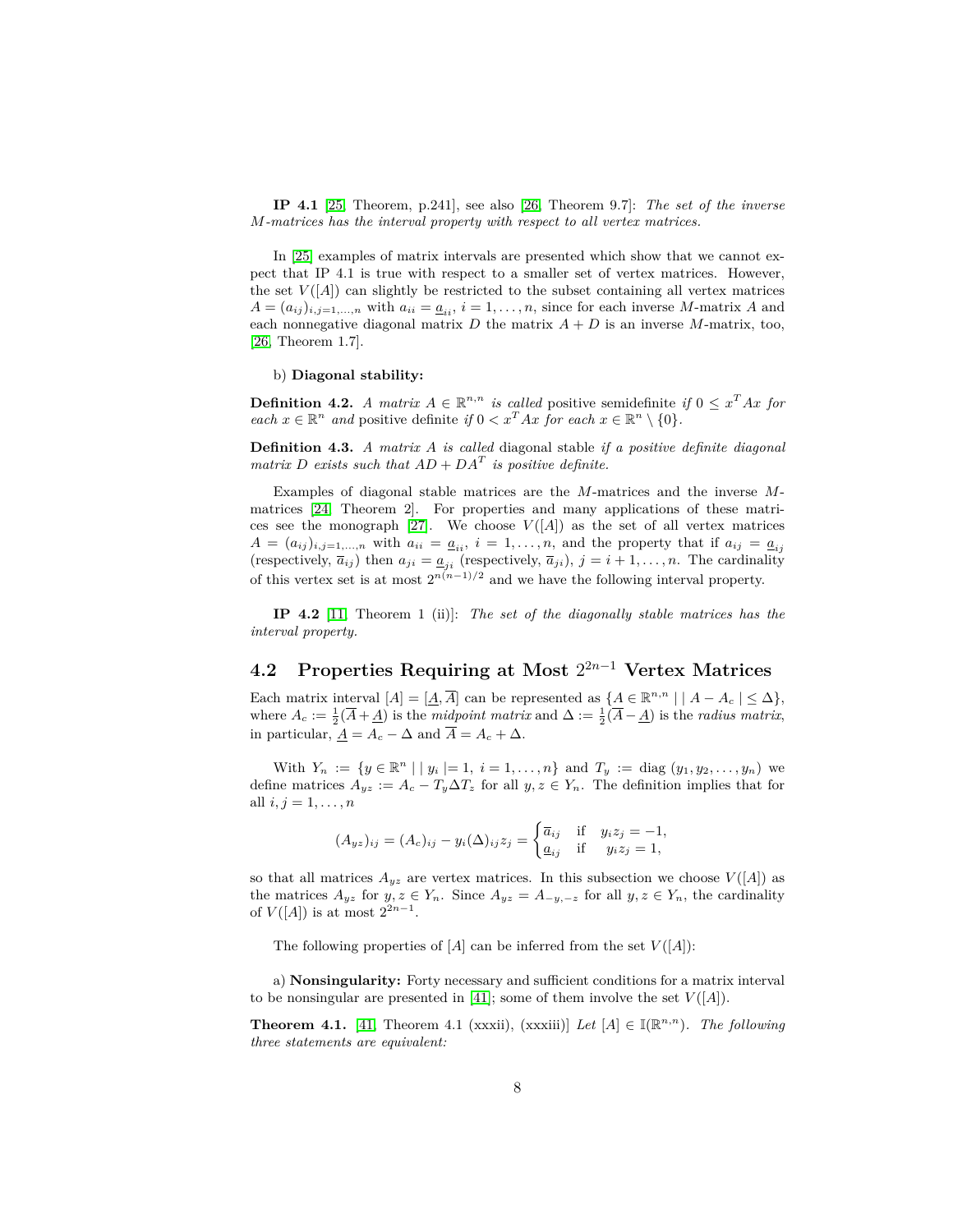**IP 4.1** [\[25,](#page-14-8) Theorem, p.241], see also [\[26,](#page-14-7) Theorem 9.7]: *The set of the inverse M-matrices has the interval property with respect to all vertex matrices.*

In [\[25\]](#page-14-8) examples of matrix intervals are presented which show that we cannot expect that IP 4.1 is true with respect to a smaller set of vertex matrices. However, the set  $V([A])$  can slightly be restricted to the subset containing all vertex matrices  $A = (a_{ij})_{i,j=1,\dots,n}$  with  $a_{ii} = \underline{a}_{ii}, i = 1,\dots,n$ , since for each inverse *M*-matrix *A* and each nonnegative diagonal matrix  $D$  the matrix  $A + D$  is an inverse  $M$ -matrix, too, [\[26,](#page-14-7) Theorem 1.7].

#### b) **Diagonal stability:**

<span id="page-9-2"></span>**Definition 4.2.** *A matrix*  $A \in \mathbb{R}^{n,n}$  *is called* positive semidefinite *if*  $0 \le x^T A x$  *for each*  $x \in \mathbb{R}^n$  *and* positive definite *if*  $0 < x^T A x$  *for each*  $x \in \mathbb{R}^n \setminus \{0\}$ *.* 

**Definition 4.3.** *A matrix A is called* diagonal stable *if a positive definite diagonal matrix D exists* such that  $AD + DA^T$  *is positive definite.* 

Examples of diagonal stable matrices are the *M*-matrices and the inverse *M*matrices [\[24,](#page-14-6) Theorem 2]. For properties and many applications of these matri-ces see the monograph [\[27\]](#page-14-9). We choose  $V([A])$  as the set of all vertex matrices  $A = (a_{ij})_{i,j=1,\dots,n}$  with  $a_{ii} = a_{ii}, i = 1,\dots,n$ , and the property that if  $a_{ij} = a_{ij}$ (respectively,  $\bar{a}_{ij}$ ) then  $a_{ji} = \underline{a}_{ji}$  (respectively,  $\bar{a}_{ji}$ ),  $j = i + 1, \ldots, n$ . The cardinality of this vertex set is at most  $2^{n(n-1)/2}$  and we have the following interval property.

**IP 4.2** [\[11,](#page-14-10) Theorem 1 (ii)]: *The set of the diagonally stable matrices has the interval property.*

## <span id="page-9-1"></span>**4.2 Properties Requiring at Most** 2 <sup>2</sup>*n*−<sup>1</sup> **Vertex Matrices**

Each matrix interval  $[A] = [\underline{A}, \overline{A}]$  can be represented as  $\{A \in \mathbb{R}^{n,n} \mid |A - A_c| \leq \Delta\}$ , where  $A_c := \frac{1}{2}(\overline{A} + \underline{A})$  is the *midpoint matrix* and  $\Delta := \frac{1}{2}(\overline{A} - \underline{A})$  is the *radius matrix*, in particular,  $\underline{A} = A_c - \Delta$  and  $\overline{A} = A_c + \Delta$ .

With  $Y_n := \{ y \in \mathbb{R}^n \mid |y_i| = 1, i = 1, ..., n \}$  and  $T_y := \text{diag}(y_1, y_2, ..., y_n)$  we define matrices  $A_{yz} := A_c - T_y \Delta T_z$  for all  $y, z \in Y_n$ . The definition implies that for all  $i, j = 1, ..., n$ 

$$
(A_{yz})_{ij} = (A_c)_{ij} - y_i(\Delta)_{ij} z_j = \begin{cases} \overline{a}_{ij} & \text{if } y_i z_j = -1, \\ \underline{a}_{ij} & \text{if } y_i z_j = 1, \end{cases}
$$

so that all matrices  $A_{yz}$  are vertex matrices. In this subsection we choose  $V([A])$  as the matrices  $A_{yz}$  for  $y, z \in Y_n$ . Since  $A_{yz} = A_{-y,-z}$  for all  $y, z \in Y_n$ , the cardinality of  $V([A])$  is at most  $2^{2n-1}$ .

The following properties of  $[A]$  can be inferred from the set  $V([A])$ :

a) **Nonsingularity:** Forty necessary and sufficient conditions for a matrix interval to be nonsingular are presented in [\[41\]](#page-15-8); some of them involve the set  $V([A])$ .

<span id="page-9-0"></span>**Theorem 4.1.** [\[41,](#page-15-8) Theorem 4.1 (xxxii), (xxxiii)] *Let*  $[A] \in \mathbb{I}(\mathbb{R}^{n,n})$ *. The following three statements are equivalent:*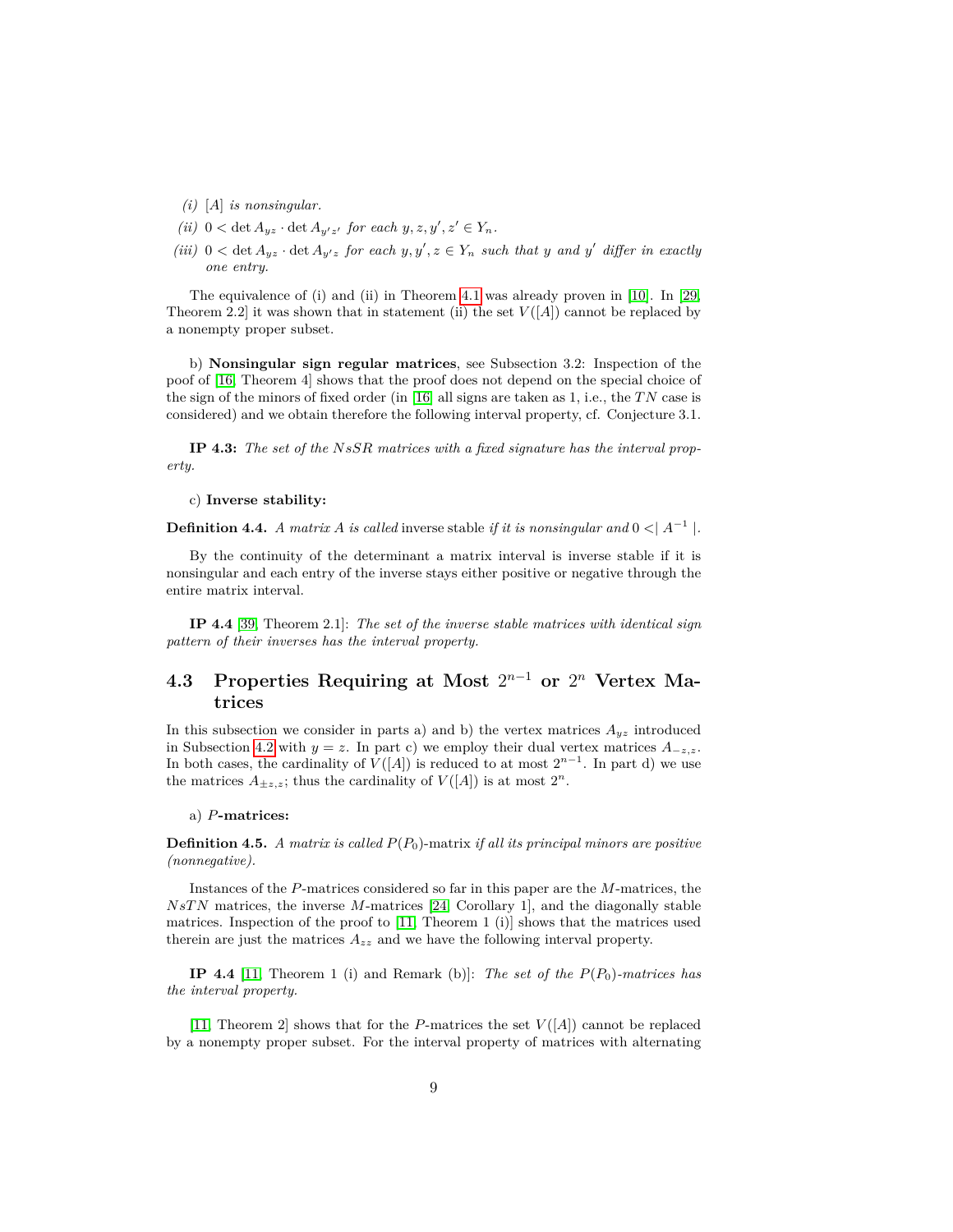- *(i)* [*A*] *is nonsingular.*
- *(ii)*  $0 < \det A_{yz} \cdot \det A_{y'z'}$  *for each*  $y, z, y', z' \in Y_n$ *.*
- *(iii)*  $0 < \det A_{yz} \cdot \det A_{y'z}$  *for each*  $y, y', z \in Y_n$  *such that*  $y$  *and*  $y'$  *differ in exactly one entry.*

The equivalence of (i) and (ii) in Theorem [4.1](#page-9-0) was already proven in [\[10\]](#page-13-7). In [\[29,](#page-15-9) Theorem 2.2] it was shown that in statement (ii) the set  $V([A])$  cannot be replaced by a nonempty proper subset.

b) **Nonsingular sign regular matrices**, see Subsection 3.2: Inspection of the poof of [\[16,](#page-14-11) Theorem 4] shows that the proof does not depend on the special choice of the sign of the minors of fixed order (in [\[16\]](#page-14-11) all signs are taken as 1, i.e., the *T N* case is considered) and we obtain therefore the following interval property, cf. Conjecture 3.1.

**IP 4.3:** *The set of the NsSR matrices with a fixed signature has the interval property.*

c) **Inverse stability:**

**Definition 4.4.** *A matrix A is called* inverse stable *if it is nonsingular and*  $0 < |A^{-1}|$ .

By the continuity of the determinant a matrix interval is inverse stable if it is nonsingular and each entry of the inverse stays either positive or negative through the entire matrix interval.

**IP 4.4** [\[39,](#page-15-10) Theorem 2.1]: *The set of the inverse stable matrices with identical sign pattern of their inverses has the interval property.*

### **4.3** Properties Requiring at Most  $2^{n-1}$  or  $2^n$  Vertex Ma**trices**

In this subsection we consider in parts a) and b) the vertex matrices  $A_{yz}$  introduced in Subsection [4.2](#page-9-1) with  $y = z$ . In part c) we employ their dual vertex matrices  $A_{-z,z}$ . In both cases, the cardinality of  $V([A])$  is reduced to at most  $2^{n-1}$ . In part d) we use the matrices  $A_{\pm z,z}$ ; thus the cardinality of  $V([A])$  is at most  $2^n$ .

#### a) *P***-matrices:**

**Definition 4.5.** *A matrix is called P*(*P*0)-matrix *if all its principal minors are positive (nonnegative).*

Instances of the *P*-matrices considered so far in this paper are the *M*-matrices, the *NsT N* matrices, the inverse *M*-matrices [\[24,](#page-14-6) Corollary 1], and the diagonally stable matrices. Inspection of the proof to  $[11,$  Theorem 1  $(i)$  shows that the matrices used therein are just the matrices *Azz* and we have the following interval property.

**IP 4.4** [\[11,](#page-14-10) Theorem 1 (i) and Remark (b)]: *The set of the P*(*P*0)*-matrices has the interval property.*

[\[11,](#page-14-10) Theorem 2] shows that for the *P*-matrices the set *V* ([*A*]) cannot be replaced by a nonempty proper subset. For the interval property of matrices with alternating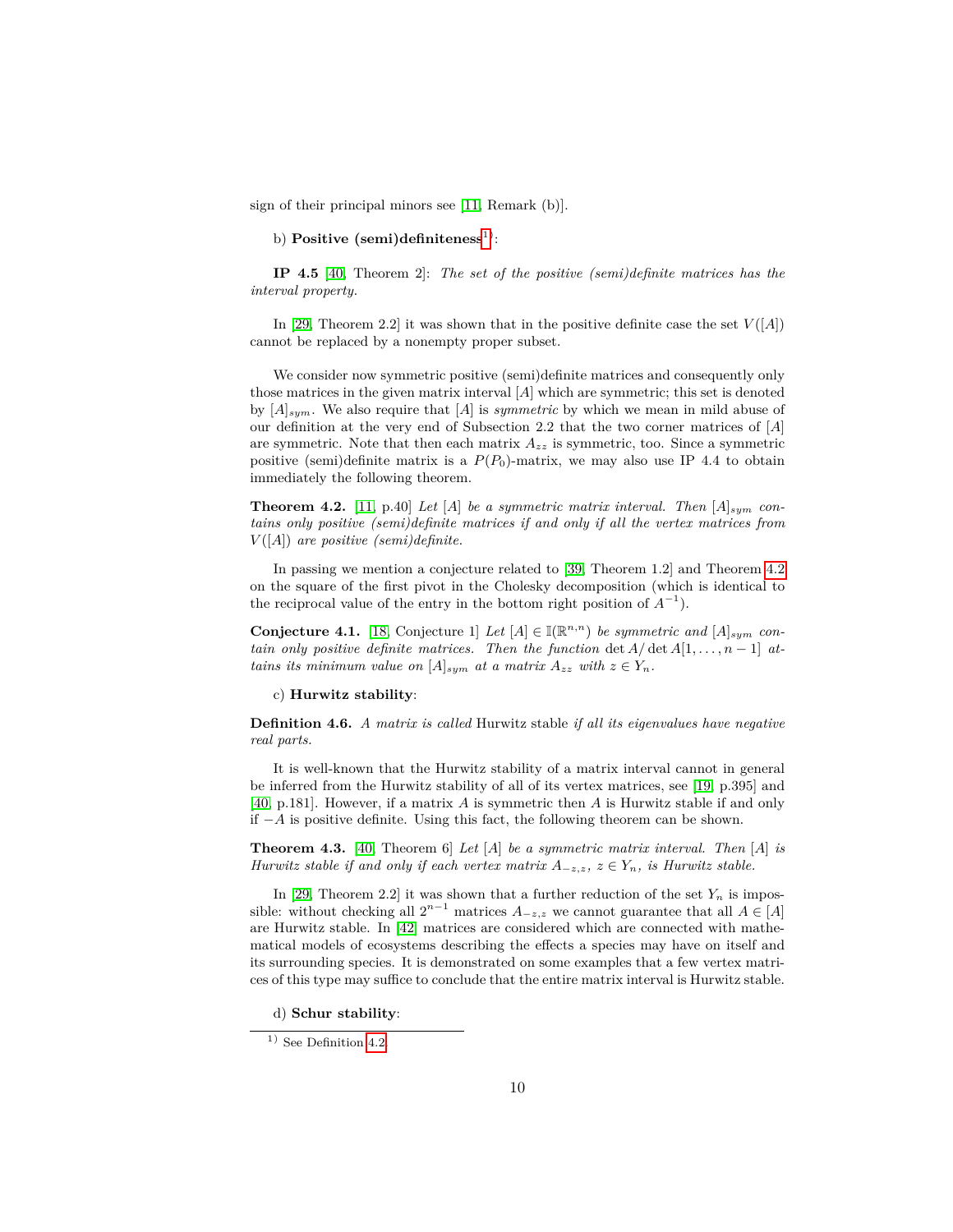sign of their principal minors see [\[11,](#page-14-10) Remark (b)].

b) **Positive** (semi)definiteness<sup>[1\)](#page-11-0)</sup>:

**IP 4.5** [\[40,](#page-15-11) Theorem 2]: *The set of the positive (semi)definite matrices has the interval property.*

In [\[29,](#page-15-9) Theorem 2.2] it was shown that in the positive definite case the set  $V([A])$ cannot be replaced by a nonempty proper subset.

We consider now symmetric positive (semi)definite matrices and consequently only those matrices in the given matrix interval [*A*] which are symmetric; this set is denoted by [*A*]*sym*. We also require that [*A*] is *symmetric* by which we mean in mild abuse of our definition at the very end of Subsection 2.2 that the two corner matrices of [*A*] are symmetric. Note that then each matrix  $A_{zz}$  is symmetric, too. Since a symmetric positive (semi)definite matrix is a  $P(P_0)$ -matrix, we may also use IP 4.4 to obtain immediately the following theorem.

<span id="page-11-1"></span>**Theorem 4.2.** [\[11,](#page-14-10) p.40] *Let* [*A*] *be a symmetric matrix interval. Then*  $[A]_{sym}$  *contains only positive (semi)definite matrices if and only if all the vertex matrices from V* ([*A*]) *are positive (semi)definite.*

In passing we mention a conjecture related to [\[39,](#page-15-10) Theorem 1.2] and Theorem [4.2](#page-11-1) on the square of the first pivot in the Cholesky decomposition (which is identical to the reciprocal value of the entry in the bottom right position of  $A^{-1}$ ).

**Conjecture 4.1.** [\[18,](#page-14-12) Conjecture 1] *Let*  $[A] \in \mathbb{I}(\mathbb{R}^{n,n})$  *be symmetric and*  $[A]_{sym}$  *contain only positive definite matrices. Then the function* det  $A/\det A[1,\ldots,n-1]$  at*tains its minimum value on*  $[A]_{sym}$  *at a matrix*  $A_{zz}$  *with*  $z \in Y_n$ *.* 

c) **Hurwitz stability**:

**Definition 4.6.** *A matrix is called* Hurwitz stable *if all its eigenvalues have negative real parts.*

It is well-known that the Hurwitz stability of a matrix interval cannot in general be inferred from the Hurwitz stability of all of its vertex matrices, see [\[19,](#page-14-13) p.395] and [\[40,](#page-15-11) p.181]. However, if a matrix *A* is symmetric then *A* is Hurwitz stable if and only if −*A* is positive definite. Using this fact, the following theorem can be shown.

<span id="page-11-2"></span>**Theorem 4.3.** [\[40,](#page-15-11) Theorem 6] *Let* [*A*] *be a symmetric matrix interval. Then* [*A*] *is Hurwitz stable if and only if each vertex matrix*  $A_{-z,z}$ ,  $z \in Y_n$ , *is Hurwitz stable.* 

In [\[29,](#page-15-9) Theorem 2.2] it was shown that a further reduction of the set  $Y_n$  is impossible: without checking all  $2^{n-1}$  matrices  $A_{-z,z}$  we cannot guarantee that all  $A \in [A]$ are Hurwitz stable. In [\[42\]](#page-15-12) matrices are considered which are connected with mathematical models of ecosystems describing the effects a species may have on itself and its surrounding species. It is demonstrated on some examples that a few vertex matrices of this type may suffice to conclude that the entire matrix interval is Hurwitz stable.

d) **Schur stability**:

<span id="page-11-0"></span><sup>&</sup>lt;sup>1)</sup> See Definition [4.2.](#page-9-2)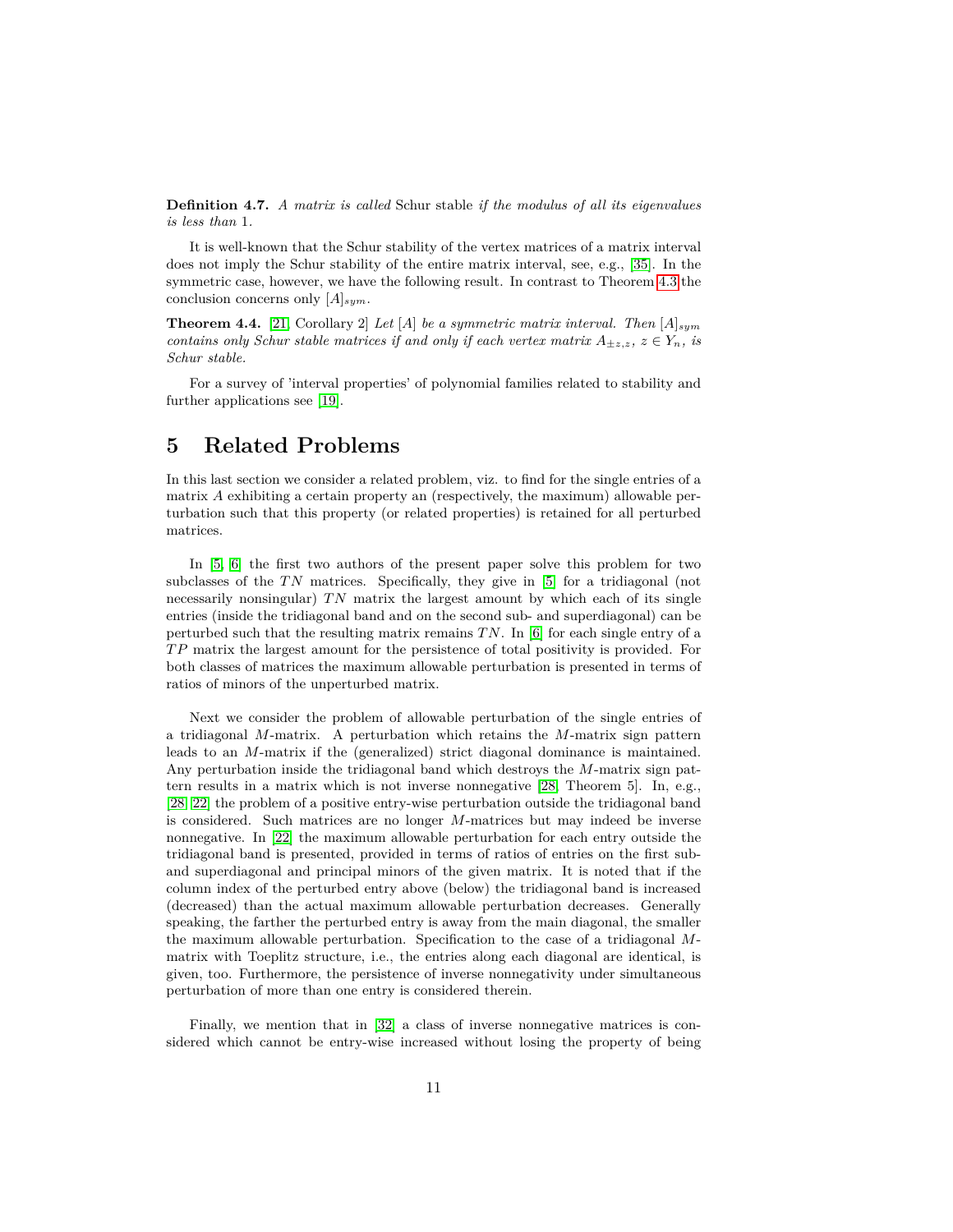**Definition 4.7.** *A matrix is called* Schur stable *if the modulus of all its eigenvalues is less than* 1*.*

It is well-known that the Schur stability of the vertex matrices of a matrix interval does not imply the Schur stability of the entire matrix interval, see, e.g., [\[35\]](#page-15-13). In the symmetric case, however, we have the following result. In contrast to Theorem [4.3](#page-11-2) the conclusion concerns only [*A*]*sym*.

**Theorem 4.4.** [\[21,](#page-14-14) Corollary 2] *Let* [*A*] *be a symmetric matrix interval. Then* [*A*]*sym contains only Schur stable matrices if and only if each vertex matrix*  $A_{\pm z,z}$ ,  $z \in Y_n$ , is *Schur stable.*

For a survey of 'interval properties' of polynomial families related to stability and further applications see [\[19\]](#page-14-13).

# **5 Related Problems**

In this last section we consider a related problem, viz. to find for the single entries of a matrix *A* exhibiting a certain property an (respectively, the maximum) allowable perturbation such that this property (or related properties) is retained for all perturbed matrices.

In [\[5,](#page-13-8) [6\]](#page-13-9) the first two authors of the present paper solve this problem for two subclasses of the *TN* matrices. Specifically, they give in [\[5\]](#page-13-8) for a tridiagonal (not necessarily nonsingular) *T N* matrix the largest amount by which each of its single entries (inside the tridiagonal band and on the second sub- and superdiagonal) can be perturbed such that the resulting matrix remains *T N*. In [\[6\]](#page-13-9) for each single entry of a *T P* matrix the largest amount for the persistence of total positivity is provided. For both classes of matrices the maximum allowable perturbation is presented in terms of ratios of minors of the unperturbed matrix.

Next we consider the problem of allowable perturbation of the single entries of a tridiagonal *M*-matrix. A perturbation which retains the *M*-matrix sign pattern leads to an *M*-matrix if the (generalized) strict diagonal dominance is maintained. Any perturbation inside the tridiagonal band which destroys the *M*-matrix sign pattern results in a matrix which is not inverse nonnegative [\[28,](#page-15-14) Theorem 5]. In, e.g., [\[28,](#page-15-14) [22\]](#page-14-15) the problem of a positive entry-wise perturbation outside the tridiagonal band is considered. Such matrices are no longer *M*-matrices but may indeed be inverse nonnegative. In [\[22\]](#page-14-15) the maximum allowable perturbation for each entry outside the tridiagonal band is presented, provided in terms of ratios of entries on the first suband superdiagonal and principal minors of the given matrix. It is noted that if the column index of the perturbed entry above (below) the tridiagonal band is increased (decreased) than the actual maximum allowable perturbation decreases. Generally speaking, the farther the perturbed entry is away from the main diagonal, the smaller the maximum allowable perturbation. Specification to the case of a tridiagonal *M*matrix with Toeplitz structure, i.e., the entries along each diagonal are identical, is given, too. Furthermore, the persistence of inverse nonnegativity under simultaneous perturbation of more than one entry is considered therein.

Finally, we mention that in [\[32\]](#page-15-1) a class of inverse nonnegative matrices is considered which cannot be entry-wise increased without losing the property of being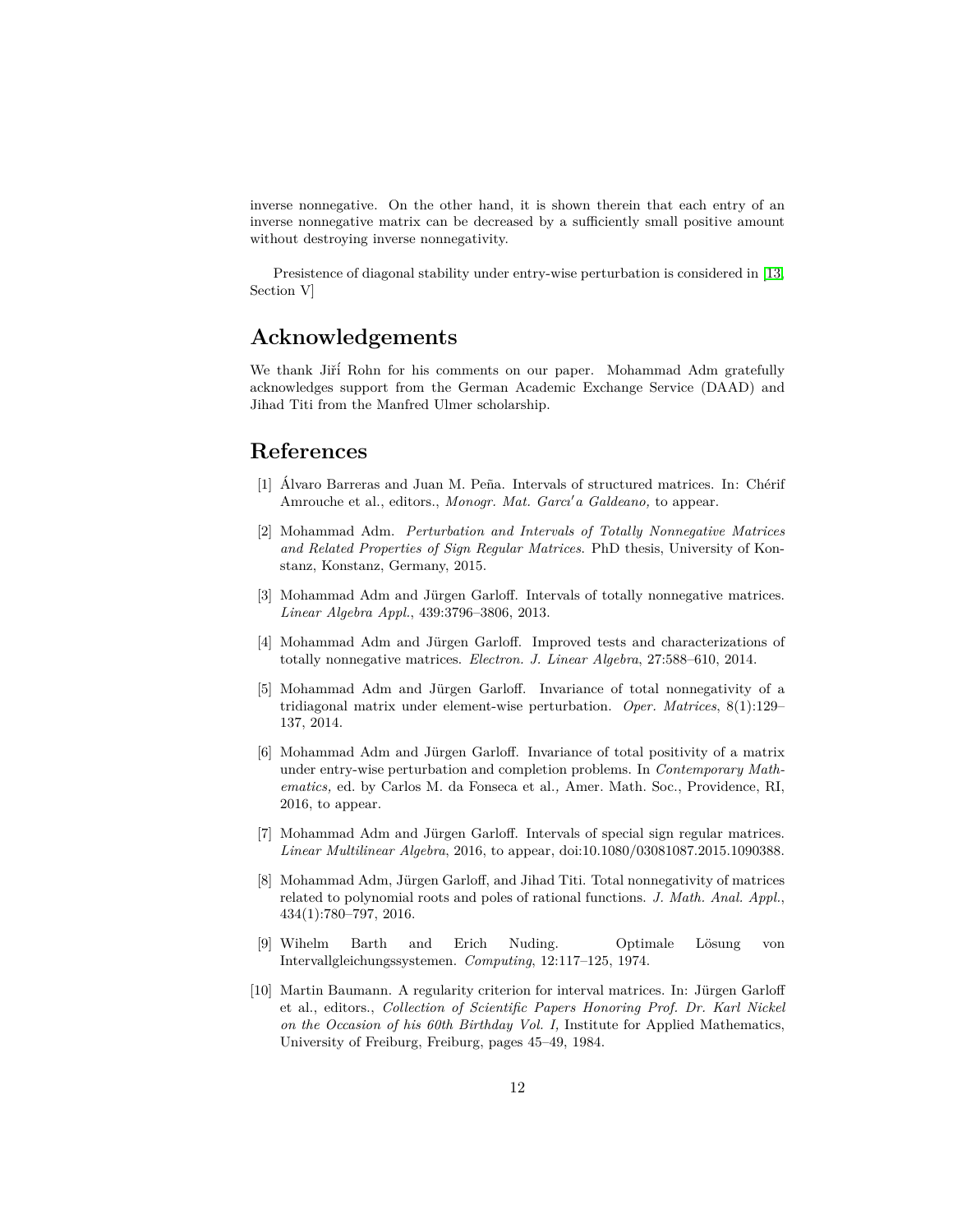inverse nonnegative. On the other hand, it is shown therein that each entry of an inverse nonnegative matrix can be decreased by a sufficiently small positive amount without destroying inverse nonnegativity.

Presistence of diagonal stability under entry-wise perturbation is considered in [\[13,](#page-14-16) Section V]

# **Acknowledgements**

We thank Jiří Rohn for his comments on our paper. Mohammad Adm gratefully acknowledges support from the German Academic Exchange Service (DAAD) and Jihad Titi from the Manfred Ulmer scholarship.

# **References**

- <span id="page-13-6"></span>[1] Álvaro Barreras and Juan M. Peña. Intervals of structured matrices. In: Chérif Amrouche et al., editors., *Monogr. Mat. Garci'a Galdeano*, to appear.
- <span id="page-13-1"></span>[2] Mohammad Adm. *Perturbation and Intervals of Totally Nonnegative Matrices and Related Properties of Sign Regular Matrices*. PhD thesis, University of Konstanz, Konstanz, Germany, 2015.
- <span id="page-13-5"></span>[3] Mohammad Adm and Jürgen Garloff. Intervals of totally nonnegative matrices. *Linear Algebra Appl.*, 439:3796–3806, 2013.
- <span id="page-13-2"></span>[4] Mohammad Adm and Jürgen Garloff. Improved tests and characterizations of totally nonnegative matrices. *Electron. J. Linear Algebra*, 27:588–610, 2014.
- <span id="page-13-8"></span>[5] Mohammad Adm and Jürgen Garloff. Invariance of total nonnegativity of a tridiagonal matrix under element-wise perturbation. *Oper. Matrices*, 8(1):129– 137, 2014.
- <span id="page-13-9"></span>[6] Mohammad Adm and Jürgen Garloff. Invariance of total positivity of a matrix under entry-wise perturbation and completion problems. In *Contemporary Mathematics,* ed. by Carlos M. da Fonseca et al.*,* Amer. Math. Soc., Providence, RI, 2016, to appear.
- <span id="page-13-4"></span>[7] Mohammad Adm and Jürgen Garloff. Intervals of special sign regular matrices. *Linear Multilinear Algebra*, 2016, to appear, doi:10.1080/03081087.2015.1090388.
- <span id="page-13-3"></span>[8] Mohammad Adm, Jürgen Garloff, and Jihad Titi. Total nonnegativity of matrices related to polynomial roots and poles of rational functions. *J. Math. Anal. Appl.*, 434(1):780–797, 2016.
- <span id="page-13-0"></span>[9] Wihelm Barth and Erich Nuding. Optimale Lösung von Intervallgleichungssystemen. *Computing*, 12:117–125, 1974.
- <span id="page-13-7"></span>[10] Martin Baumann. A regularity criterion for interval matrices. In: Jürgen Garloff et al., editors., *Collection of Scientific Papers Honoring Prof. Dr. Karl Nickel on the Occasion of his 60th Birthday Vol. I,* Institute for Applied Mathematics, University of Freiburg, Freiburg, pages 45–49, 1984.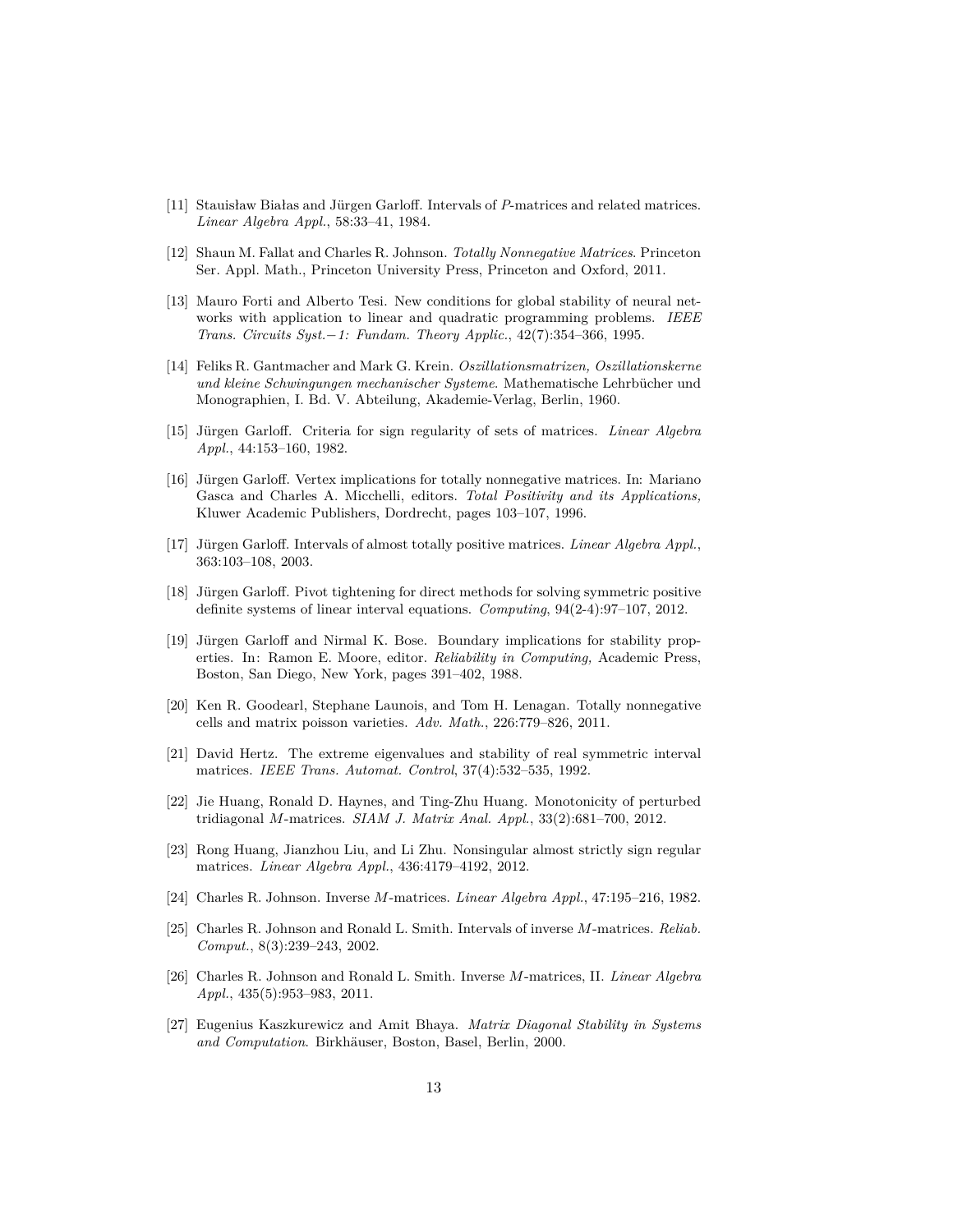- <span id="page-14-10"></span>[11] Stauisław Białas and Jürgen Garloff. Intervals of *P*-matrices and related matrices. *Linear Algebra Appl.*, 58:33–41, 1984.
- <span id="page-14-1"></span>[12] Shaun M. Fallat and Charles R. Johnson. *Totally Nonnegative Matrices*. Princeton Ser. Appl. Math., Princeton University Press, Princeton and Oxford, 2011.
- <span id="page-14-16"></span>[13] Mauro Forti and Alberto Tesi. New conditions for global stability of neural networks with application to linear and quadratic programming problems. *IEEE Trans. Circuits Syst.*−*1: Fundam. Theory Applic.*, 42(7):354–366, 1995.
- <span id="page-14-4"></span>[14] Feliks R. Gantmacher and Mark G. Krein. *Oszillationsmatrizen, Oszillationskerne und kleine Schwingungen mechanischer Systeme*. Mathematische Lehrbucher und ¨ Monographien, I. Bd. V. Abteilung, Akademie-Verlag, Berlin, 1960.
- <span id="page-14-2"></span>[15] Jürgen Garloff. Criteria for sign regularity of sets of matrices. *Linear Algebra Appl.*, 44:153–160, 1982.
- <span id="page-14-11"></span>[16] Jürgen Garloff. Vertex implications for totally nonnegative matrices. In: Mariano Gasca and Charles A. Micchelli, editors. *Total Positivity and its Applications,* Kluwer Academic Publishers, Dordrecht, pages 103–107, 1996.
- <span id="page-14-3"></span>[17] Jürgen Garloff. Intervals of almost totally positive matrices. *Linear Algebra Appl.*, 363:103–108, 2003.
- <span id="page-14-12"></span>[18] Jürgen Garloff. Pivot tightening for direct methods for solving symmetric positive definite systems of linear interval equations. *Computing*, 94(2-4):97–107, 2012.
- <span id="page-14-13"></span>[19] Jürgen Garloff and Nirmal K. Bose. Boundary implications for stability properties. In: Ramon E. Moore, editor. *Reliability in Computing,* Academic Press, Boston, San Diego, New York, pages 391–402, 1988.
- <span id="page-14-5"></span>[20] Ken R. Goodearl, Stephane Launois, and Tom H. Lenagan. Totally nonnegative cells and matrix poisson varieties. *Adv. Math.*, 226:779–826, 2011.
- <span id="page-14-14"></span>[21] David Hertz. The extreme eigenvalues and stability of real symmetric interval matrices. *IEEE Trans. Automat. Control*, 37(4):532–535, 1992.
- <span id="page-14-15"></span>[22] Jie Huang, Ronald D. Haynes, and Ting-Zhu Huang. Monotonicity of perturbed tridiagonal *M*-matrices. *SIAM J. Matrix Anal. Appl.*, 33(2):681–700, 2012.
- <span id="page-14-0"></span>[23] Rong Huang, Jianzhou Liu, and Li Zhu. Nonsingular almost strictly sign regular matrices. *Linear Algebra Appl.*, 436:4179–4192, 2012.
- <span id="page-14-6"></span>[24] Charles R. Johnson. Inverse *M*-matrices. *Linear Algebra Appl.*, 47:195–216, 1982.
- <span id="page-14-8"></span>[25] Charles R. Johnson and Ronald L. Smith. Intervals of inverse *M*-matrices. *Reliab. Comput.*, 8(3):239–243, 2002.
- <span id="page-14-7"></span>[26] Charles R. Johnson and Ronald L. Smith. Inverse *M*-matrices, II. *Linear Algebra Appl.*, 435(5):953–983, 2011.
- <span id="page-14-9"></span>[27] Eugenius Kaszkurewicz and Amit Bhaya. *Matrix Diagonal Stability in Systems* and Computation. Birkhäuser, Boston, Basel, Berlin, 2000.